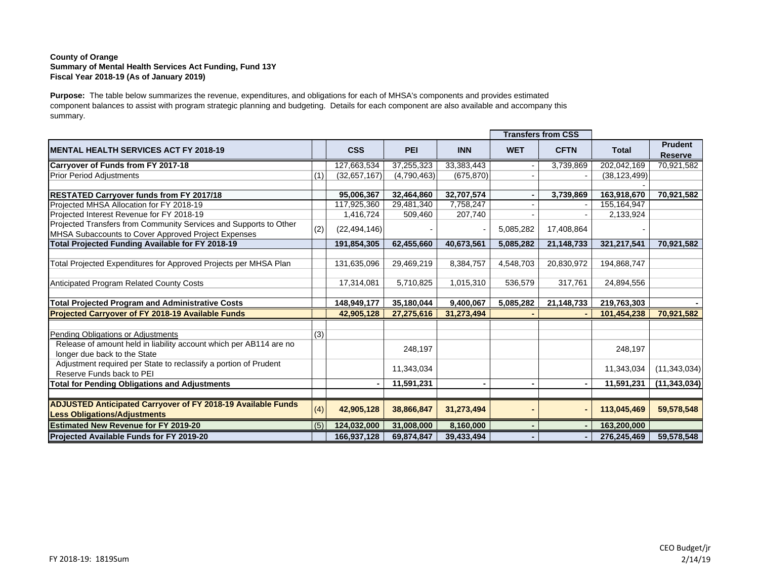## **County of Orange Summary of Mental Health Services Act Funding, Fund 13Y Fiscal Year 2018-19 (As of January 2019)**

**Purpose:** The table below summarizes the revenue, expenditures, and obligations for each of MHSA's components and provides estimated component balances to assist with program strategic planning and budgeting. Details for each component are also available and accompany this summary.

|                                                                                                    |     |                |             |              |            | <b>Transfers from CSS</b> |                |                                  |
|----------------------------------------------------------------------------------------------------|-----|----------------|-------------|--------------|------------|---------------------------|----------------|----------------------------------|
| <b>IMENTAL HEALTH SERVICES ACT FY 2018-19</b>                                                      |     | <b>CSS</b>     | <b>PEI</b>  | <b>INN</b>   | <b>WET</b> | <b>CFTN</b>               | <b>Total</b>   | <b>Prudent</b><br><b>Reserve</b> |
| <b>Carryover of Funds from FY 2017-18</b>                                                          |     | 127,663,534    | 37,255,323  | 33, 383, 443 |            | 3,739,869                 | 202,042,169    | 70,921,582                       |
| <b>Prior Period Adjustments</b>                                                                    | (1) | (32,657,167)   | (4,790,463) | (675, 870)   |            |                           | (38, 123, 499) |                                  |
|                                                                                                    |     |                |             |              |            |                           |                |                                  |
| <b>RESTATED Carryover funds from FY 2017/18</b>                                                    |     | 95,006,367     | 32,464,860  | 32,707,574   |            | 3,739,869                 | 163,918,670    | 70,921,582                       |
| Projected MHSA Allocation for FY 2018-19                                                           |     | 117,925,360    | 29,481,340  | 7,758,247    |            |                           | 155, 164, 947  |                                  |
| Projected Interest Revenue for FY 2018-19                                                          |     | 1,416,724      | 509,460     | 207,740      |            |                           | 2,133,924      |                                  |
| Projected Transfers from Community Services and Supports to Other                                  | (2) | (22, 494, 146) |             |              | 5,085,282  | 17,408,864                |                |                                  |
| MHSA Subaccounts to Cover Approved Project Expenses                                                |     |                |             |              |            |                           |                |                                  |
| Total Projected Funding Available for FY 2018-19                                                   |     | 191,854,305    | 62,455,660  | 40,673,561   | 5,085,282  | 21,148,733                | 321,217,541    | 70,921,582                       |
|                                                                                                    |     |                |             |              |            |                           |                |                                  |
| Total Projected Expenditures for Approved Projects per MHSA Plan                                   |     | 131,635,096    | 29,469,219  | 8,384,757    | 4,548,703  | 20,830,972                | 194,868,747    |                                  |
|                                                                                                    |     |                |             |              |            |                           |                |                                  |
| Anticipated Program Related County Costs                                                           |     | 17,314,081     | 5,710,825   | 1,015,310    | 536,579    | 317,761                   | 24,894,556     |                                  |
| <b>Total Projected Program and Administrative Costs</b>                                            |     | 148,949,177    | 35,180,044  | 9,400,067    | 5,085,282  | 21,148,733                | 219,763,303    |                                  |
| Projected Carryover of FY 2018-19 Available Funds                                                  |     | 42,905,128     | 27,275,616  | 31,273,494   |            |                           | 101,454,238    | 70,921,582                       |
|                                                                                                    |     |                |             |              |            |                           |                |                                  |
| Pending Obligations or Adjustments                                                                 | (3) |                |             |              |            |                           |                |                                  |
| Release of amount held in liability account which per AB114 are no<br>longer due back to the State |     |                | 248,197     |              |            |                           | 248,197        |                                  |
| Adjustment required per State to reclassify a portion of Prudent<br>Reserve Funds back to PEI      |     |                | 11,343,034  |              |            |                           | 11,343,034     | (11, 343, 034)                   |
| <b>Total for Pending Obligations and Adjustments</b>                                               |     |                | 11,591,231  |              |            |                           | 11,591,231     | (11, 343, 034)                   |
|                                                                                                    |     |                |             |              |            |                           |                |                                  |
| <b>ADJUSTED Anticipated Carryover of FY 2018-19 Available Funds</b>                                | (4) |                |             |              |            |                           |                |                                  |
| <b>Less Obligations/Adjustments</b>                                                                |     | 42,905,128     | 38,866,847  | 31,273,494   |            |                           | 113,045,469    | 59,578,548                       |
| <b>Estimated New Revenue for FY 2019-20</b>                                                        | (5) | 124,032,000    | 31,008,000  | 8,160,000    |            |                           | 163,200,000    |                                  |
| <b>Projected Available Funds for FY 2019-20</b>                                                    |     | 166,937,128    | 69,874,847  | 39,433,494   |            |                           | 276,245,469    | 59,578,548                       |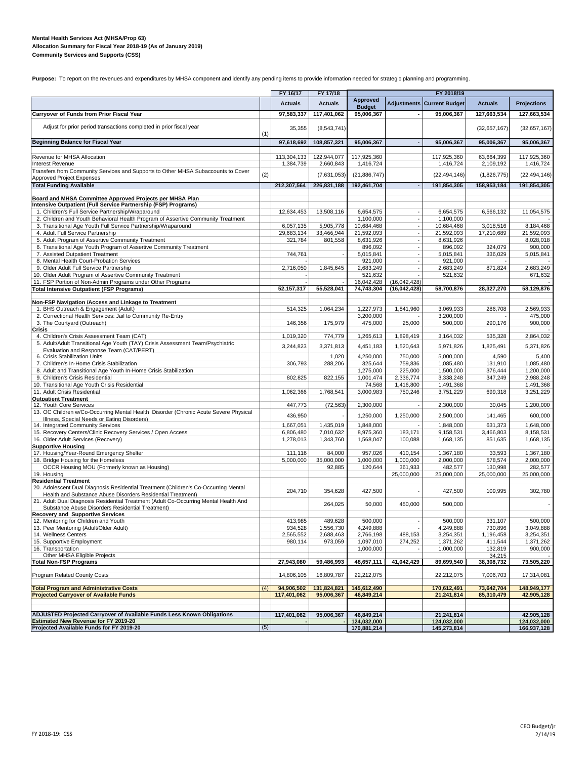#### **Mental Health Services Act (MHSA/Prop 63) Allocation Summary for Fiscal Year 2018-19 (As of January 2019) Community Services and Supports (CSS)**

Purpose: To report on the revenues and expenditures by MHSA component and identify any pending items to provide information needed for strategic planning and programming.

|                                                                                                                                                    |     | FY 16/17                | FY 17/18               |                                  |                              | FY 2018/19                        |                         |                         |
|----------------------------------------------------------------------------------------------------------------------------------------------------|-----|-------------------------|------------------------|----------------------------------|------------------------------|-----------------------------------|-------------------------|-------------------------|
|                                                                                                                                                    |     | <b>Actuals</b>          | <b>Actuals</b>         | <b>Approved</b><br><b>Budget</b> |                              | <b>Adjustments Current Budget</b> | <b>Actuals</b>          | <b>Projections</b>      |
| Carryover of Funds from Prior Fiscal Year                                                                                                          |     | 97,583,337              | 117,401,062            | 95,006,367                       |                              | 95.006.367                        | 127,663,534             | 127,663,534             |
| Adjust for prior period transactions completed in prior fiscal year                                                                                | (1) | 35,355                  | (8,543,741)            |                                  |                              |                                   | (32,657,167)            | (32,657,167)            |
| <b>Beginning Balance for Fiscal Year</b>                                                                                                           |     | 97,618,692              | 108,857,321            | 95,006,367                       |                              | 95,006,367                        | 95,006,367              | 95,006,367              |
| Revenue for MHSA Allocation                                                                                                                        |     | 113,304,133             | 122,944,077            | 117,925,360                      |                              | 117,925,360                       | 63,664,399              | 117,925,360             |
| <b>Interest Revenue</b>                                                                                                                            |     | 1,384,739               | 2,660,843              | 1,416,724                        |                              | 1,416,724                         | 2,109,192               | 1,416,724               |
| Transfers from Community Services and Supports to Other MHSA Subaccounts to Cover<br>Approved Project Expenses                                     | (2) |                         | (7,631,053)            | (21, 886, 747)                   |                              | (22, 494, 146)                    | (1,826,775)             | (22, 494, 146)          |
| <b>Total Funding Available</b>                                                                                                                     |     | 212,307,564             | 226,831,188            | 192,461,704                      |                              | 191,854,305                       | 158,953,184             | 191,854,305             |
| Board and MHSA Committee Approved Projects per MHSA Plan                                                                                           |     |                         |                        |                                  |                              |                                   |                         |                         |
| Intensive Outpatient (Full Service Partnership (FSP) Programs)                                                                                     |     |                         |                        |                                  |                              |                                   |                         |                         |
| 1. Children's Full Service Partnership/Wraparound                                                                                                  |     | 12,634,453              | 13,508,116             | 6.654.575                        |                              | 6,654,575                         | 6,566,132               | 11,054,575              |
| 2. Children and Youth Behavioral Health Program of Assertive Community Treatment<br>3. Transitional Age Youth Full Service Partnership/Wraparound  |     |                         | 5,905,778              | 1,100,000<br>10,684,468          |                              | 1,100,000                         |                         |                         |
| 4. Adult Full Service Partnership                                                                                                                  |     | 6,057,135<br>29,683,134 | 33,466,944             | 21,592,093                       |                              | 10,684,468<br>21,592,093          | 3,018,516<br>17,210,689 | 8,184,468<br>21,592,093 |
| 5. Adult Program of Assertive Community Treatment                                                                                                  |     | 321,784                 | 801,558                | 8,631,926                        |                              | 8,631,926                         |                         | 8,028,018               |
| 6. Transitional Age Youth Program of Assertive Community Treatment                                                                                 |     |                         |                        | 896,092                          |                              | 896,092                           | 324,079                 | 900,000                 |
| 7. Assisted Outpatient Treatment<br>8. Mental Health Court-Probation Services                                                                      |     | 744,761                 |                        | 5,015,841<br>921,000             |                              | 5,015,841<br>921,000              | 336,029                 | 5,015,841               |
| 9. Older Adult Full Service Partnership                                                                                                            |     | 2,716,050               | 1,845,645              | 2,683,249                        |                              | 2,683,249                         | 871,824                 | 2,683,249               |
| 10. Older Adult Program of Assertive Community Treatment                                                                                           |     |                         |                        | 521,632                          |                              | 521,632                           |                         | 671,632                 |
| 11. FSP Portion of Non-Admin Programs under Other Programs<br><b>Total Intensive Outpatient (FSP Programs)</b>                                     |     | 52, 157, 317            | 55,528,041             | 16,042,428<br>74,743,304         | (16,042,428)<br>(16,042,428) | 58,700,876                        | 28,327,270              | 58,129,876              |
|                                                                                                                                                    |     |                         |                        |                                  |                              |                                   |                         |                         |
| Non-FSP Navigation /Access and Linkage to Treatment                                                                                                |     |                         |                        |                                  |                              |                                   |                         |                         |
| 1. BHS Outreach & Engagement (Adult)<br>2. Correctional Health Services: Jail to Community Re-Entry                                                |     | 514,325                 | 1,064,234              | 1,227,973<br>3,200,000           | 1,841,960                    | 3,069,933<br>3,200,000            | 286,708                 | 2,569,933<br>475,000    |
| 3. The Courtyard (Outreach)<br>Crisis                                                                                                              |     | 146.356                 | 175,979                | 475,000                          | 25,000                       | 500,000                           | 290,176                 | 900,000                 |
| 4. Children's Crisis Assessment Team (CAT)                                                                                                         |     | 1,019,320               | 774,779                | 1,265,613                        | 1,898,419                    | 3,164,032                         | 535,328                 | 2,864,032               |
| 5. Adult/Adult Transitional Age Youth (TAY) Crisis Assessment Team/Psychiatric<br>Evaluation and Response Team (CAT/PERT)                          |     | 3,244,823               | 3,371,813              | 4,451,183                        | 1,520,643                    | 5,971,826                         | 1,825,491               | 5,371,826               |
| 6. Crisis Stabilization Units<br>7. Children's In-Home Crisis Stabilization                                                                        |     | 306,793                 | 1,020<br>288,206       | 4,250,000<br>325,644             | 750,000<br>759,836           | 5,000,000<br>1,085,480            | 4,590<br>131,910        | 5,400<br>1,085,480      |
| 8. Adult and Transitional Age Youth In-Home Crisis Stabilization                                                                                   |     |                         |                        | 1,275,000                        | 225,000                      | 1,500,000                         | 376,444                 | 1,200,000               |
| 9. Children's Crisis Residential                                                                                                                   |     | 802,825                 | 822,155                | 1,001,474                        | 2,336,774                    | 3,338,248                         | 347,249                 | 2,988,248               |
| 10. Transitional Age Youth Crisis Residential                                                                                                      |     |                         |                        | 74,568                           | 1,416,800                    | 1,491,368                         |                         | 1,491,368               |
| 11. Adult Crisis Residential<br><b>Outpatient Treatment</b>                                                                                        |     | 1,062,366               | 1,768,541              | 3,000,983                        | 750,246                      | 3,751,229                         | 699,318                 | 3,251,229               |
| 12. Youth Core Services                                                                                                                            |     | 447,773                 | (72, 563)              | 2,300,000                        |                              | 2,300,000                         | 30,045                  | 1,200,000               |
| 13. OC Children w/Co-Occurring Mental Health Disorder (Chronic Acute Severe Physical<br>Illness, Special Needs or Eating Disorders)                |     | 436,950                 |                        | 1,250,000                        | 1,250,000                    | 2,500,000                         | 141,465                 | 600,000                 |
| 14. Integrated Community Services                                                                                                                  |     | 1,667,051               | 1,435,019              | 1,848,000                        |                              | 1,848,000                         | 631,373                 | 1,648,000               |
| 15. Recovery Centers/Clinic Recovery Services / Open Access<br>16. Older Adult Services (Recovery)                                                 |     | 6,806,480<br>1,278,013  | 7,010,632<br>1,343,760 | 8,975,360<br>1,568,047           | 183,171<br>100,088           | 9,158,531<br>1,668,135            | 3,466,803<br>851,635    | 8,158,531<br>1,668,135  |
| <b>Supportive Housing</b>                                                                                                                          |     |                         |                        |                                  |                              |                                   |                         |                         |
| 17. Housing/Year-Round Emergency Shelter                                                                                                           |     | 111,116                 | 84,000                 | 957,026                          | 410,154                      | 1,367,180                         | 33,593                  | 1,367,180               |
| 18. Bridge Housing for the Homeless<br>OCCR Housing MOU (Formerly known as Housing)                                                                |     | 5,000,000               | 35,000,000<br>92,885   | 1,000,000<br>120,644             | 1,000,000<br>361,933         | 2,000,000<br>482,577              | 578,574<br>130,998      | 2,000,000<br>282,577    |
| 19. Housing                                                                                                                                        |     |                         |                        |                                  | 25,000,000                   | 25,000,000                        | 25,000,000              | 25,000,000              |
| <b>Residential Treatment</b>                                                                                                                       |     |                         |                        |                                  |                              |                                   |                         |                         |
| 20. Adolescent Dual Diagnosis Residential Treatment (Children's Co-Occurring Mental<br>Health and Substance Abuse Disorders Residential Treatment) |     | 204,710                 | 354,628                | 427,500                          |                              | 427,500                           | 109,995                 | 302,780                 |
| 21. Adult Dual Diagnosis Residential Treatment (Adult Co-Occurring Mental Health And                                                               |     |                         | 264,025                | 50,000                           | 450,000                      | 500,000                           |                         |                         |
| Substance Abuse Disorders Residential Treatment)<br><b>Recovery and Supportive Services</b>                                                        |     |                         |                        |                                  |                              |                                   |                         |                         |
| 12. Mentoring for Children and Youth                                                                                                               |     | 413,985                 | 489,628                | 500,000                          |                              | 500,000                           | 331,107                 | 500,000                 |
| 13. Peer Mentoring (Adult/Older Adult)                                                                                                             |     | 934,528                 | 1,556,730              | 4,249,888                        |                              | 4,249,888                         | 730,896                 | 3,049,888               |
| 14. Wellness Centers<br>15. Supportive Employment                                                                                                  |     | 2,565,552<br>980,114    | 2,688,463<br>973,059   | 2,766,198<br>1,097,010           | 488,153<br>274,252           | 3,254,351<br>1,371,262            | 1,196,458<br>411,544    | 3,254,351<br>1,371,262  |
| 16. Transportation                                                                                                                                 |     |                         |                        | 1,000,000                        |                              | 1,000,000                         | 132,819                 | 900,000                 |
| Other MHSA Eligible Projects<br><b>Total Non-FSP Programs</b>                                                                                      |     |                         |                        | 48,657,111                       |                              |                                   | 34,215                  |                         |
|                                                                                                                                                    |     | 27,943,080              | 59,486,993             |                                  | 41,042,429                   | 89,699,540                        | 38,308,732              | 73,505,220              |
| Program Related County Costs                                                                                                                       |     | 14,806,105              | 16,809,787             | 22,212,075                       |                              | 22,212,075                        | 7,006,703               | 17,314,081              |
| <b>Total Program and Administrative Costs</b>                                                                                                      | (4) | 94.906.502              | 131,824,821            | 145,612,490                      |                              | 170,612,491                       | 73,642,704              | 148,949,177             |
| <b>Projected Carryover of Available Funds</b>                                                                                                      |     | 117,401,062             | 95,006,367             | 46,849,214                       |                              | 21,241,814                        | 85,310,479              | 42,905,128              |
| ADJUSTED Projected Carryover of Available Funds Less Known Obligations                                                                             |     | 117,401,062             | 95,006,367             | 46,849,214                       |                              | 21,241,814                        |                         | 42,905,128              |
| <b>Estimated New Revenue for FY 2019-20</b>                                                                                                        |     |                         |                        | 124,032,000                      |                              | 124,032,000                       |                         | 124,032,000             |
| Projected Available Funds for FY 2019-20                                                                                                           | (5) |                         |                        | 170,881,214                      |                              | 145,273,814                       |                         | 166,937,128             |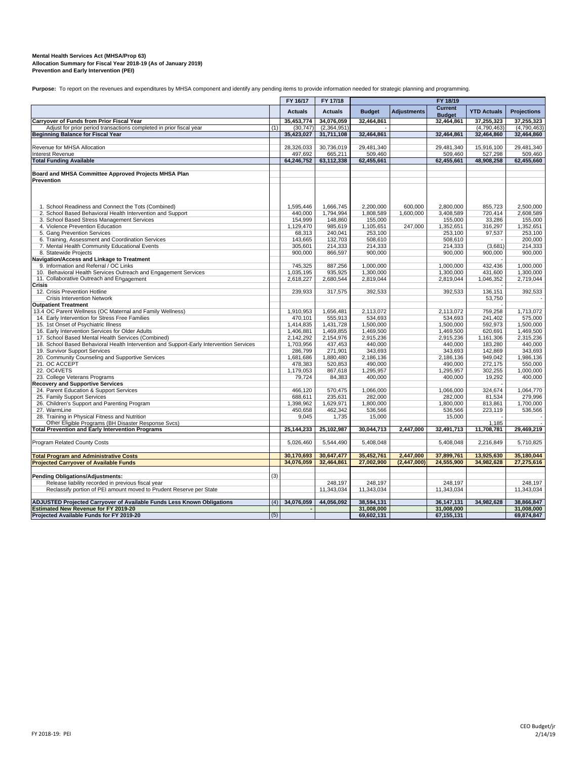## **Mental Health Services Act (MHSA/Prop 63)** Allocation Summary for Fiscal Year 2018-19 (As of January 2019)<br>Prevention and Early Intervention (PEI)

Purpose: To report on the revenues and expenditures by MHSA component and identify any pending items to provide information needed for strategic planning and programming.

|                                                                                                                          |     | FY 16/17                | FY 17/18                  |                        |                    | FY 18/19               |                           |                           |
|--------------------------------------------------------------------------------------------------------------------------|-----|-------------------------|---------------------------|------------------------|--------------------|------------------------|---------------------------|---------------------------|
|                                                                                                                          |     | <b>Actuals</b>          | <b>Actuals</b>            | <b>Budget</b>          | <b>Adjustments</b> | <b>Current</b>         | <b>YTD Actuals</b>        | <b>Projections</b>        |
|                                                                                                                          |     |                         |                           |                        |                    | <b>Budget</b>          |                           |                           |
| Carryover of Funds from Prior Fiscal Year                                                                                |     | 35,453,774              | 34,076,059                | 32,464,861             |                    | 32,464,861             | 37,255,323                | 37,255,323                |
| Adjust for prior period transactions completed in prior fiscal year<br><b>Beginning Balance for Fiscal Year</b>          | (1) | (30, 747)<br>35,423,027 | (2,364,951)<br>31,711,108 | 32,464,861             |                    | 32,464,861             | (4,790,463)<br>32,464,860 | (4,790,463)<br>32,464,860 |
|                                                                                                                          |     |                         |                           |                        |                    |                        |                           |                           |
| Revenue for MHSA Allocation                                                                                              |     | 28,326,033              | 30,736,019                | 29,481,340             |                    | 29,481,340             | 15,916,100                | 29,481,340                |
| Interest Revenue                                                                                                         |     | 497,692                 | 665,211                   | 509,460                |                    | 509,460                | 527,298                   | 509,460                   |
| <b>Total Funding Available</b>                                                                                           |     | 64,246,752              | 63,112,338                | 62,455,661             |                    | 62,455,661             | 48,908,258                | 62,455,660                |
|                                                                                                                          |     |                         |                           |                        |                    |                        |                           |                           |
| Board and MHSA Committee Approved Projects MHSA Plan<br>Prevention                                                       |     |                         |                           |                        |                    |                        |                           |                           |
|                                                                                                                          |     |                         |                           |                        |                    |                        |                           |                           |
| 1. School Readiness and Connect the Tots (Combined)                                                                      |     | 1,595,446               | 1,666,745                 | 2.200.000              | 600.000            | 2.800.000              | 855,723                   | 2.500.000                 |
| 2. School Based Behavioral Health Intervention and Support                                                               |     | 440,000                 | 1,794,994                 | 1,808,589              | 1,600,000          | 3,408,589              | 720.414                   | 2.608.589                 |
| 3. School Based Stress Management Services                                                                               |     | 154,999                 | 148,860                   | 155,000                |                    | 155,000                | 33,286                    | 155,000                   |
| 4. Violence Prevention Education                                                                                         |     | 1,129,470               | 985,619                   | 1,105,651              | 247,000            | 1,352,651              | 316,297                   | 1,352,651                 |
| 5. Gang Prevention Services                                                                                              |     | 68,313                  | 240,041                   | 253,100                |                    | 253,100                | 97,537                    | 253,100                   |
| 6. Training, Assessment and Coordination Services                                                                        |     | 143,665                 | 132,703                   | 508,610                |                    | 508,610                |                           | 200,000                   |
| 7. Mental Health Community Educational Events                                                                            |     | 305,601                 | 214.333                   | 214,333                |                    | 214,333                | (3,681)                   | 214,333                   |
| 8. Statewide Projects                                                                                                    |     | 900,000                 | 866,597                   | 900,000                |                    | 900,000                | 900,000                   | 900,000                   |
| Navigation/Access and Linkage to Treatment                                                                               |     |                         |                           |                        |                    |                        |                           |                           |
| 9. Information and Referral / OC Links                                                                                   |     | 745,325                 | 887,256                   | 1,000,000              |                    | 1,000,000              | 432,436                   | 1,000,000                 |
| 10. Behavioral Health Services Outreach and Engagement Services                                                          |     | 1,035,195               | 935,925                   | 1,300,000              |                    | 1,300,000              | 431,600                   | 1,300,000                 |
| 11. Collaborative Outreach and Engagement                                                                                |     | 2,618,227               | 2,680,544                 | 2,819,044              |                    | 2,819,044              | 1,046,352                 | 2,719,044                 |
| Crisis                                                                                                                   |     |                         |                           |                        |                    |                        |                           |                           |
| 12. Crisis Prevention Hotline                                                                                            |     | 239.933                 | 317,575                   | 392,533                |                    | 392.533                | 136.151                   | 392,533                   |
| <b>Crisis Intervention Network</b>                                                                                       |     |                         |                           |                        |                    |                        | 53,750                    |                           |
| <b>Outpatient Treatment</b>                                                                                              |     |                         |                           |                        |                    |                        |                           |                           |
| 13.4 OC Parent Wellness (OC Maternal and Family Wellness)                                                                |     | 1,910,953               | 1,656,481                 | 2,113,072              |                    | 2,113,072              | 759,258                   | 1,713,072                 |
| 14. Early Intervention for Stress Free Families                                                                          |     | 470,101                 | 555,913                   | 534,693                |                    | 534,693                | 241,402                   | 575,000                   |
| 15. 1st Onset of Psychiatric Illness<br>16. Early Intervention Services for Older Adults                                 |     | 1,414,835<br>1,406,881  | 1,431,728<br>1,469,855    | 1,500,000<br>1,469,500 |                    | 1,500,000<br>1,469,500 | 592,973<br>620,691        | 1,500,000<br>1,469,500    |
|                                                                                                                          |     |                         |                           |                        |                    |                        |                           |                           |
| 17. School Based Mental Health Services (Combined)                                                                       |     | 2,142,292<br>1,703,956  | 2,154,976<br>437,453      | 2,915,236<br>440,000   |                    | 2,915,236<br>440,000   | 1,161,306                 | 2,315,236<br>440,000      |
| 18. School Based Behavioral Health Intervention and Support-Early Intervention Services<br>19. Survivor Support Services |     | 286,799                 | 271,901                   | 343,693                |                    | 343,693                | 183,280<br>142,869        | 343,693                   |
| 20. Community Counseling and Supportive Services                                                                         |     | 1,681,686               | 1,880,480                 | 2,186,136              |                    | 2,186,136              | 949,042                   | 1,986,136                 |
| 21. OC ACCEPT                                                                                                            |     | 478,383                 | 520.853                   | 490,000                |                    | 490,000                | 272,175                   | 550,000                   |
| 22. OC4VETS                                                                                                              |     | 1,179,053               | 867,618                   | 1,295,957              |                    | 1,295,957              | 302,255                   | 1,000,000                 |
| 23. College Veterans Programs                                                                                            |     | 79,724                  | 84,383                    | 400,000                |                    | 400,000                | 19,292                    | 400,000                   |
| <b>Recovery and Supportive Services</b>                                                                                  |     |                         |                           |                        |                    |                        |                           |                           |
| 24. Parent Education & Support Services                                                                                  |     | 466,120                 | 570,475                   | 1,066,000              |                    | 1,066,000              | 324,674                   | 1,064,770                 |
| 25. Family Support Services                                                                                              |     | 688,611                 | 235,631                   | 282,000                |                    | 282,000                | 81,534                    | 279,996                   |
| 26. Children's Support and Parenting Program                                                                             |     | 1,398,962               | 1,629,971                 | 1,800,000              |                    | 1,800,000              | 813,861                   | 1,700,000                 |
| 27. WarmLine                                                                                                             |     | 450,658                 | 462,342                   | 536,566                |                    | 536,566                | 223,119                   | 536,566                   |
| 28. Training in Physical Fitness and Nutrition                                                                           |     | 9,045                   | 1,735                     | 15,000                 |                    | 15,000                 |                           |                           |
| Other Eligible Programs (BH Disaster Response Svcs)                                                                      |     |                         |                           |                        |                    |                        | 1,185                     |                           |
| <b>Total Prevention and Early Intervention Programs</b>                                                                  |     | 25, 144, 233            | 25,102,987                | 30,044,713             | 2,447,000          | 32,491,713             | 11,708,781                | 29,469,219                |
|                                                                                                                          |     |                         |                           |                        |                    |                        |                           |                           |
| Program Related County Costs                                                                                             |     | 5,026,460               | 5,544,490                 | 5,408,048              |                    | 5,408,048              | 2,216,849                 | 5.710.825                 |
| <b>Total Program and Administrative Costs</b>                                                                            |     | 30,170,693              | 30,647,477                | 35,452,761             | 2,447,000          | 37,899,761             | 13,925,630                | 35,180,044                |
| <b>Projected Carryover of Available Funds</b>                                                                            |     | 34,076,059              | 32,464,861                | 27,002,900             | (2, 447, 000)      | 24,555,900             | 34,982,628                | 27,275,616                |
|                                                                                                                          |     |                         |                           |                        |                    |                        |                           |                           |
| <b>Pending Obligations/Adjustments:</b>                                                                                  | (3) |                         |                           |                        |                    |                        |                           |                           |
| Release liability recorded in previous fiscal year                                                                       |     |                         | 248.197                   | 248.197                |                    | 248.197                |                           | 248.197                   |
| Reclassify portion of PEI amount moved to Prudent Reserve per State                                                      |     |                         | 11,343,034                | 11,343,034             |                    | 11,343,034             |                           | 11,343,034                |
|                                                                                                                          |     |                         |                           |                        |                    |                        |                           |                           |
| ADJUSTED Projected Carryover of Available Funds Less Known Obligations                                                   | (4) | 34,076,059              | 44,056,092                | 38,594,131             |                    | 36, 147, 131           | 34,982,628                | 38,866,847                |
| <b>Estimated New Revenue for FY 2019-20</b>                                                                              |     |                         |                           | 31,008,000             |                    | 31,008,000             |                           | 31,008,000                |
| Projected Available Funds for FY 2019-20                                                                                 | (5) |                         |                           | 69,602,131             |                    | 67,155,131             |                           | 69,874,847                |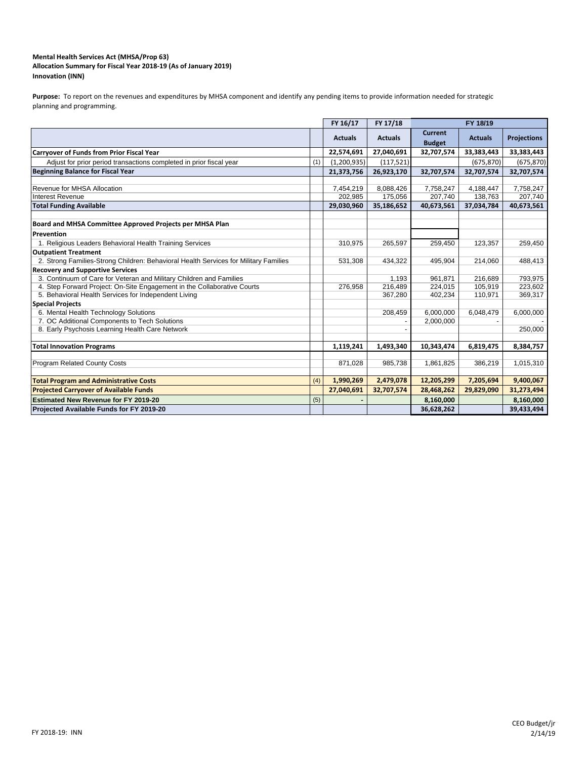### **Mental Health Services Act (MHSA/Prop 63) Innovation (INN) Allocation Summary for Fiscal Year 2018‐19 (As of January 2019)**

Purpose: To report on the revenues and expenditures by MHSA component and identify any pending items to provide information needed for strategic planning and programming.

|                                                                                      |     | FY 16/17       | FY 17/18       |                                 | FY 18/19       |                    |  |  |
|--------------------------------------------------------------------------------------|-----|----------------|----------------|---------------------------------|----------------|--------------------|--|--|
|                                                                                      |     | <b>Actuals</b> | <b>Actuals</b> | <b>Current</b><br><b>Budget</b> | <b>Actuals</b> | <b>Projections</b> |  |  |
| <b>Carryover of Funds from Prior Fiscal Year</b>                                     |     | 22,574,691     | 27,040,691     | 32,707,574                      | 33,383,443     | 33,383,443         |  |  |
| Adjust for prior period transactions completed in prior fiscal year                  | (1) | (1,200,935)    | (117, 521)     |                                 | (675, 870)     | (675, 870)         |  |  |
| Beginning Balance for Fiscal Year                                                    |     | 21,373,756     | 26,923,170     | 32,707,574                      | 32,707,574     | 32,707,574         |  |  |
|                                                                                      |     |                |                |                                 |                |                    |  |  |
| Revenue for MHSA Allocation                                                          |     | 7,454,219      | 8,088,426      | 7,758,247                       | 4,188,447      | 7,758,247          |  |  |
| Interest Revenue                                                                     |     | 202,985        | 175,056        | 207,740                         | 138,763        | 207,740            |  |  |
| <b>Total Funding Available</b>                                                       |     | 29,030,960     | 35,186,652     | 40,673,561                      | 37,034,784     | 40,673,561         |  |  |
| Board and MHSA Committee Approved Projects per MHSA Plan                             |     |                |                |                                 |                |                    |  |  |
| Prevention                                                                           |     |                |                |                                 |                |                    |  |  |
| 1. Religious Leaders Behavioral Health Training Services                             |     | 310,975        | 265,597        | 259,450                         | 123,357        | 259,450            |  |  |
| <b>Outpatient Treatment</b>                                                          |     |                |                |                                 |                |                    |  |  |
| 2. Strong Families-Strong Children: Behavioral Health Services for Military Families |     | 531,308        | 434,322        | 495,904                         | 214,060        | 488,413            |  |  |
| <b>Recovery and Supportive Services</b>                                              |     |                |                |                                 |                |                    |  |  |
| 3. Continuum of Care for Veteran and Military Children and Families                  |     |                | 1,193          | 961,871                         | 216,689        | 793,975            |  |  |
| 4. Step Forward Project: On-Site Engagement in the Collaborative Courts              |     | 276.958        | 216,489        | 224,015                         | 105,919        | 223,602            |  |  |
| 5. Behavioral Health Services for Independent Living                                 |     |                | 367,280        | 402,234                         | 110,971        | 369,317            |  |  |
| <b>Special Projects</b>                                                              |     |                |                |                                 |                |                    |  |  |
| 6. Mental Health Technology Solutions                                                |     |                | 208,459        | 6,000,000                       | 6,048,479      | 6,000,000          |  |  |
| 7. OC Additional Components to Tech Solutions                                        |     |                |                | 2,000,000                       |                |                    |  |  |
| 8. Early Psychosis Learning Health Care Network                                      |     |                |                |                                 |                | 250,000            |  |  |
| <b>Total Innovation Programs</b>                                                     |     | 1,119,241      | 1,493,340      | 10,343,474                      | 6,819,475      | 8,384,757          |  |  |
|                                                                                      |     |                |                |                                 |                |                    |  |  |
| <b>Program Related County Costs</b>                                                  |     | 871,028        | 985,738        | 1,861,825                       | 386,219        | 1,015,310          |  |  |
| <b>Total Program and Administrative Costs</b>                                        | (4) | 1,990,269      | 2,479,078      | 12,205,299                      | 7,205,694      | 9,400,067          |  |  |
| <b>Projected Carryover of Available Funds</b>                                        |     | 27,040,691     | 32,707,574     | 28,468,262                      | 29,829,090     | 31,273,494         |  |  |
| <b>Estimated New Revenue for FY 2019-20</b>                                          | (5) |                |                | 8,160,000                       |                | 8,160,000          |  |  |
| Projected Available Funds for FY 2019-20                                             |     |                |                | 36,628,262                      |                | 39,433,494         |  |  |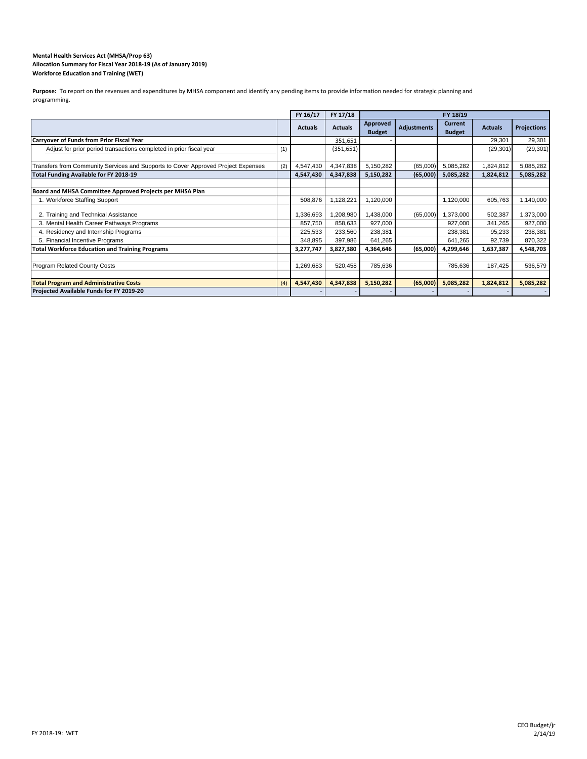#### **Workforce Education and Training (WET) Mental Health Services Act (MHSA/Prop 63) Allocation Summary for Fiscal Year 2018‐19 (As of January 2019)**

Purpose: To report on the revenues and expenditures by MHSA component and identify any pending items to provide information needed for strategic planning and programming.

|                                                                                   |     | FY 16/17       | FY 17/18       | FY 18/19                  |                    |                                 |                |                    |
|-----------------------------------------------------------------------------------|-----|----------------|----------------|---------------------------|--------------------|---------------------------------|----------------|--------------------|
|                                                                                   |     | <b>Actuals</b> | <b>Actuals</b> | Approved<br><b>Budget</b> | <b>Adjustments</b> | <b>Current</b><br><b>Budget</b> | <b>Actuals</b> | <b>Projections</b> |
| Carryover of Funds from Prior Fiscal Year                                         |     |                | 351,651        |                           |                    |                                 | 29,301         | 29,301             |
| Adjust for prior period transactions completed in prior fiscal year               | (1) |                | (351, 651)     |                           |                    |                                 | (29, 301)      | (29, 301)          |
| Transfers from Community Services and Supports to Cover Approved Project Expenses | (2) | 4,547,430      | 4,347,838      | 5,150,282                 | (65,000)           | 5,085,282                       | 1,824,812      | 5,085,282          |
| Total Funding Available for FY 2018-19                                            |     | 4,547,430      | 4,347,838      | 5,150,282                 | (65,000)           | 5,085,282                       | 1,824,812      | 5,085,282          |
|                                                                                   |     |                |                |                           |                    |                                 |                |                    |
| Board and MHSA Committee Approved Projects per MHSA Plan                          |     |                |                |                           |                    |                                 |                |                    |
| 1. Workforce Staffing Support                                                     |     | 508.876        | 1,128,221      | 1,120,000                 |                    | 1,120,000                       | 605,763        | 1,140,000          |
| 2. Training and Technical Assistance                                              |     | 1,336,693      | 1,208,980      | 1,438,000                 | (65,000)           | 1,373,000                       | 502,387        | 1,373,000          |
| 3. Mental Health Career Pathways Programs                                         |     | 857,750        | 858,633        | 927,000                   |                    | 927,000                         | 341,265        | 927,000            |
| 4. Residency and Internship Programs                                              |     | 225,533        | 233,560        | 238,381                   |                    | 238,381                         | 95,233         | 238,381            |
| 5. Financial Incentive Programs                                                   |     | 348,895        | 397,986        | 641,265                   |                    | 641,265                         | 92,739         | 870,322            |
| <b>Total Workforce Education and Training Programs</b>                            |     | 3,277,747      | 3,827,380      | 4,364,646                 | (65,000)           | 4,299,646                       | 1,637,387      | 4,548,703          |
|                                                                                   |     |                |                |                           |                    |                                 |                |                    |
| <b>Program Related County Costs</b>                                               |     | 1,269,683      | 520,458        | 785,636                   |                    | 785,636                         | 187,425        | 536,579            |
|                                                                                   |     |                |                |                           |                    |                                 |                |                    |
| <b>Total Program and Administrative Costs</b>                                     | (4) | 4,547,430      | 4,347,838      | 5,150,282                 | (65,000)           | 5,085,282                       | 1,824,812      | 5,085,282          |
| Projected Available Funds for FY 2019-20                                          |     |                |                |                           |                    |                                 |                |                    |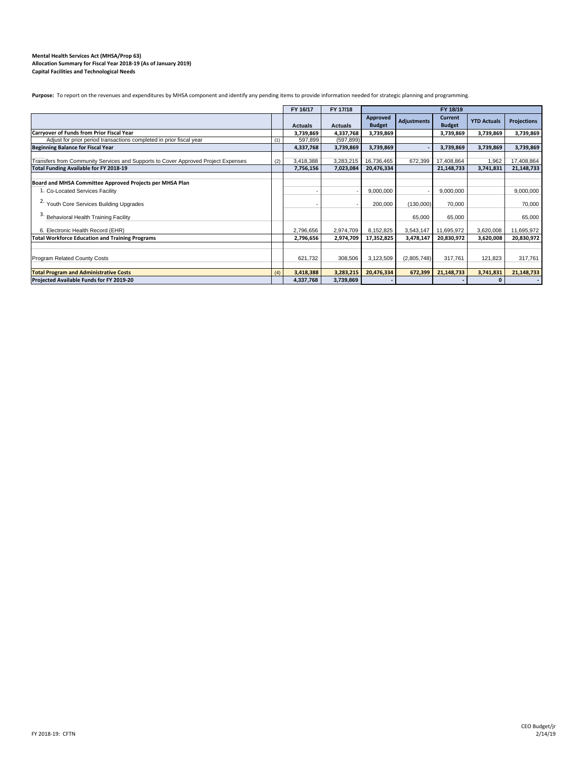#### **Mental Health Services Act (MHSA/Prop 63) Allocation Summary for Fiscal Year 2018‐19 (As of January 2019) Capital Facilities and Technological Needs**

Purpose: To report on the revenues and expenditures by MHSA component and identify any pending items to provide information needed for strategic planning and programming.

|                                                                                                                             |     | FY 16/17<br>FY 17/18<br>FY 18/19 |                        |                           |                    |                                 |                    |                          |
|-----------------------------------------------------------------------------------------------------------------------------|-----|----------------------------------|------------------------|---------------------------|--------------------|---------------------------------|--------------------|--------------------------|
|                                                                                                                             |     | <b>Actuals</b>                   | <b>Actuals</b>         | Approved<br><b>Budget</b> | <b>Adjustments</b> | <b>Current</b><br><b>Budget</b> | <b>YTD Actuals</b> | <b>Projections</b>       |
| Carryover of Funds from Prior Fiscal Year                                                                                   |     | 3,739,869                        | 4,337,768              | 3,739,869                 |                    | 3,739,869                       | 3,739,869          | 3,739,869                |
| Adjust for prior period transactions completed in prior fiscal year                                                         | (1) | 597,899                          | (597, 899)             |                           |                    |                                 |                    |                          |
| <b>Beginning Balance for Fiscal Year</b>                                                                                    |     | 4,337,768                        | 3,739,869              | 3,739,869                 |                    | 3,739,869                       | 3,739,869          | 3,739,869                |
| Transfers from Community Services and Supports to Cover Approved Project Expenses<br>Total Funding Available for FY 2018-19 | (2) | 3,418,388<br>7,756,156           | 3,283,215<br>7,023,084 | 16,736,465<br>20,476,334  | 672,399            | 17,408,864<br>21,148,733        | 1,962<br>3,741,831 | 17,408,864<br>21,148,733 |
|                                                                                                                             |     |                                  |                        |                           |                    |                                 |                    |                          |
| Board and MHSA Committee Approved Projects per MHSA Plan                                                                    |     |                                  |                        |                           |                    |                                 |                    |                          |
| 1. Co-Located Services Facility                                                                                             |     |                                  |                        | 9,000,000                 |                    | 9,000,000                       |                    | 9,000,000                |
| <sup>2.</sup> Youth Core Services Building Upgrades                                                                         |     |                                  |                        | 200,000                   | (130,000)          | 70,000                          |                    | 70.000                   |
| Behavioral Health Training Facility                                                                                         |     |                                  |                        |                           | 65,000             | 65,000                          |                    | 65.000                   |
| 6. Electronic Health Record (EHR)                                                                                           |     | 2,796,656                        | 2,974,709              | 8,152,825                 | 3,543,147          | 11,695,972                      | 3,620,008          | 11,695,972               |
| <b>Total Workforce Education and Training Programs</b>                                                                      |     | 2,796,656                        | 2,974,709              | 17,352,825                | 3,478,147          | 20,830,972                      | 3,620,008          | 20,830,972               |
|                                                                                                                             |     |                                  |                        |                           |                    |                                 |                    |                          |
| <b>Program Related County Costs</b>                                                                                         |     | 621,732                          | 308,506                | 3,123,509                 | (2,805,748)        | 317.761                         | 121,823            | 317,761                  |
| <b>Total Program and Administrative Costs</b>                                                                               | (4) | 3,418,388                        | 3,283,215              | 20,476,334                | 672,399            | 21,148,733                      | 3,741,831          | 21,148,733               |
| Projected Available Funds for FY 2019-20                                                                                    |     | 4,337,768                        | 3,739,869              |                           |                    |                                 |                    |                          |